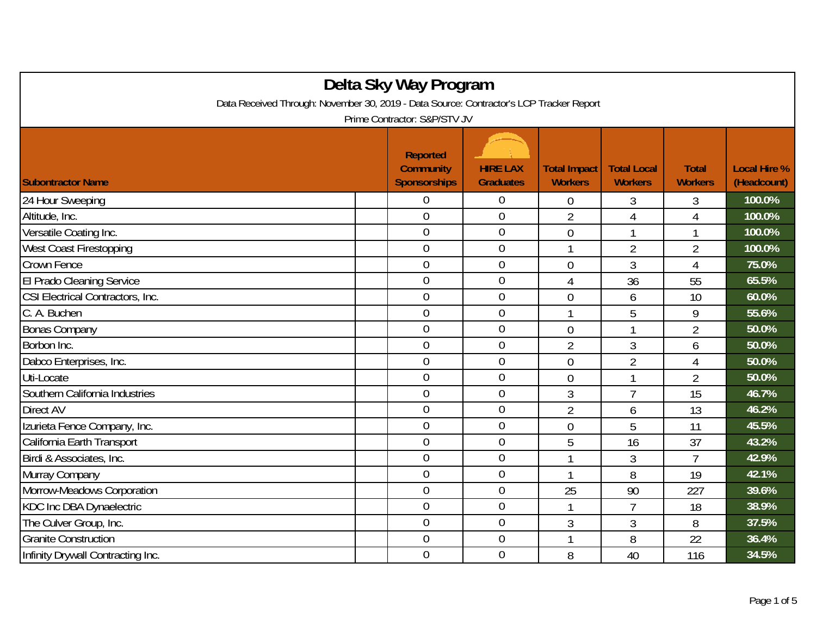| Delta Sky Way Program                                                                   |  |                                                            |                                     |                                       |                                      |                                |                                    |  |
|-----------------------------------------------------------------------------------------|--|------------------------------------------------------------|-------------------------------------|---------------------------------------|--------------------------------------|--------------------------------|------------------------------------|--|
| Data Received Through: November 30, 2019 - Data Source: Contractor's LCP Tracker Report |  |                                                            |                                     |                                       |                                      |                                |                                    |  |
| Prime Contractor: S&P/STV JV                                                            |  |                                                            |                                     |                                       |                                      |                                |                                    |  |
| <b>Subontractor Name</b>                                                                |  | <b>Reported</b><br><b>Community</b><br><b>Sponsorships</b> | <b>HIRE LAX</b><br><b>Graduates</b> | <b>Total Impact</b><br><b>Workers</b> | <b>Total Local</b><br><b>Workers</b> | <b>Total</b><br><b>Workers</b> | <b>Local Hire %</b><br>(Headcount) |  |
| 24 Hour Sweeping                                                                        |  | 0                                                          | 0                                   | 0                                     | 3                                    | 3                              | 100.0%                             |  |
| Altitude, Inc.                                                                          |  | $\overline{0}$                                             | $\boldsymbol{0}$                    | $\overline{2}$                        | $\overline{4}$                       | $\overline{4}$                 | 100.0%                             |  |
| Versatile Coating Inc.                                                                  |  | $\overline{0}$                                             | $\boldsymbol{0}$                    | $\theta$                              | 1                                    | 1                              | 100.0%                             |  |
| <b>West Coast Firestopping</b>                                                          |  | $\overline{0}$                                             | $\overline{0}$                      | -1                                    | $\overline{2}$                       | 2                              | 100.0%                             |  |
| Crown Fence                                                                             |  | $\overline{0}$                                             | $\mathbf 0$                         | $\theta$                              | 3                                    | 4                              | 75.0%                              |  |
| El Prado Cleaning Service                                                               |  | $\overline{0}$                                             | $\overline{0}$                      | 4                                     | 36                                   | 55                             | 65.5%                              |  |
| CSI Electrical Contractors, Inc.                                                        |  | $\overline{0}$                                             | $\mathbf 0$                         | $\overline{0}$                        | 6                                    | 10                             | 60.0%                              |  |
| C. A. Buchen                                                                            |  | $\overline{0}$                                             | $\overline{0}$                      | 1                                     | 5                                    | 9                              | 55.6%                              |  |
| <b>Bonas Company</b>                                                                    |  | $\overline{0}$                                             | $\mathbf 0$                         | $\overline{0}$                        | 1                                    | $\overline{2}$                 | 50.0%                              |  |
| Borbon Inc.                                                                             |  | $\overline{0}$                                             | $\boldsymbol{0}$                    | $\overline{2}$                        | 3                                    | 6                              | 50.0%                              |  |
| Dabco Enterprises, Inc.                                                                 |  | $\overline{0}$                                             | $\mathbf 0$                         | $\overline{0}$                        | $\overline{2}$                       | $\overline{4}$                 | 50.0%                              |  |
| Uti-Locate                                                                              |  | $\overline{0}$                                             | $\mathbf 0$                         | $\overline{0}$                        | 1                                    | $\overline{2}$                 | 50.0%                              |  |
| Southern California Industries                                                          |  | $\overline{0}$                                             | $\boldsymbol{0}$                    | 3                                     | 7                                    | 15                             | 46.7%                              |  |
| <b>Direct AV</b>                                                                        |  | $\overline{0}$                                             | $\mathbf 0$                         | $\overline{2}$                        | 6                                    | 13                             | 46.2%                              |  |
| Izurieta Fence Company, Inc.                                                            |  | $\overline{0}$                                             | $\mathbf 0$                         | $\overline{0}$                        | 5                                    | 11                             | 45.5%                              |  |
| California Earth Transport                                                              |  | $\overline{0}$                                             | $\theta$                            | 5                                     | 16                                   | 37                             | 43.2%                              |  |
| Birdi & Associates, Inc.                                                                |  | $\overline{0}$                                             | $\overline{0}$                      |                                       | 3                                    | $\overline{7}$                 | 42.9%                              |  |
| Murray Company                                                                          |  | $\overline{0}$                                             | $\boldsymbol{0}$                    |                                       | 8                                    | 19                             | 42.1%                              |  |
| Morrow-Meadows Corporation                                                              |  | $\overline{0}$                                             | $\boldsymbol{0}$                    | 25                                    | 90                                   | 227                            | 39.6%                              |  |
| KDC Inc DBA Dynaelectric                                                                |  | $\boldsymbol{0}$                                           | $\boldsymbol{0}$                    |                                       | $\overline{7}$                       | 18                             | 38.9%                              |  |
| The Culver Group, Inc.                                                                  |  | $\overline{0}$                                             | $\mathbf 0$                         | 3                                     | 3                                    | 8                              | 37.5%                              |  |
| <b>Granite Construction</b>                                                             |  | $\mathbf 0$                                                | $\overline{0}$                      | -1                                    | 8                                    | 22                             | 36.4%                              |  |
| Infinity Drywall Contracting Inc.                                                       |  | $\overline{0}$                                             | $\mathbf 0$                         | 8                                     | 40                                   | 116                            | 34.5%                              |  |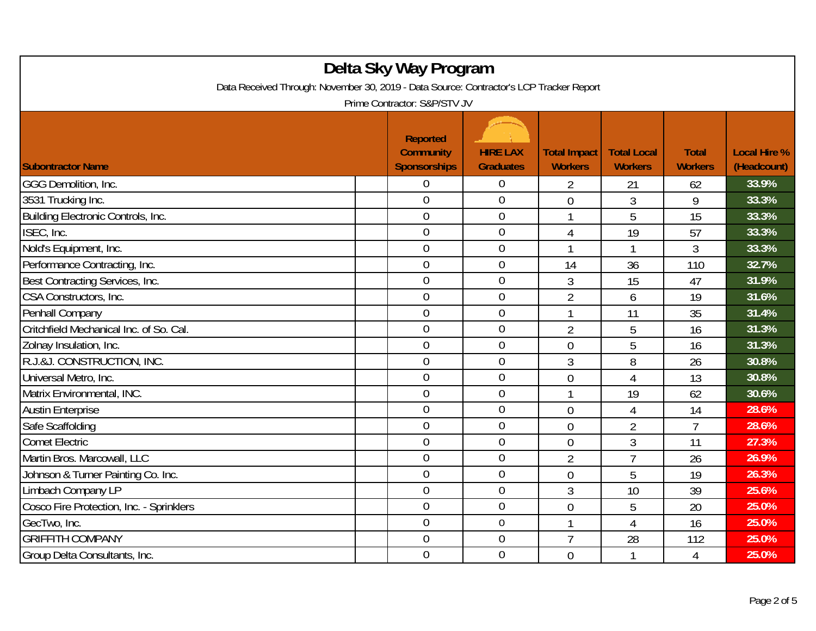| Delta Sky Way Program<br>Data Received Through: November 30, 2019 - Data Source: Contractor's LCP Tracker Report<br>Prime Contractor: S&P/STV JV |  |                                                            |                                     |                                       |                                      |                                |                                    |  |
|--------------------------------------------------------------------------------------------------------------------------------------------------|--|------------------------------------------------------------|-------------------------------------|---------------------------------------|--------------------------------------|--------------------------------|------------------------------------|--|
| <b>Subontractor Name</b>                                                                                                                         |  | <b>Reported</b><br><b>Community</b><br><b>Sponsorships</b> | <b>HIRE LAX</b><br><b>Graduates</b> | <b>Total Impact</b><br><b>Workers</b> | <b>Total Local</b><br><b>Workers</b> | <b>Total</b><br><b>Workers</b> | <b>Local Hire %</b><br>(Headcount) |  |
| GGG Demolition, Inc.                                                                                                                             |  | 0                                                          | $\boldsymbol{0}$                    | 2                                     | 21                                   | 62                             | 33.9%                              |  |
| 3531 Trucking Inc.                                                                                                                               |  | $\overline{0}$                                             | $\overline{0}$                      | 0                                     | 3                                    | 9                              | 33.3%                              |  |
| Building Electronic Controls, Inc.                                                                                                               |  | $\overline{0}$                                             | $\boldsymbol{0}$                    | 1                                     | 5                                    | 15                             | 33.3%                              |  |
| ISEC, Inc.                                                                                                                                       |  | $\overline{0}$                                             | $\mathbf 0$                         | $\overline{4}$                        | 19                                   | 57                             | 33.3%                              |  |
| Nold's Equipment, Inc.                                                                                                                           |  | $\overline{0}$                                             | $\overline{0}$                      | 1                                     | 1                                    | 3                              | 33.3%                              |  |
| Performance Contracting, Inc.                                                                                                                    |  | $\overline{0}$                                             | $\boldsymbol{0}$                    | 14                                    | 36                                   | 110                            | 32.7%                              |  |
| Best Contracting Services, Inc.                                                                                                                  |  | $\overline{0}$                                             | $\mathbf 0$                         | 3                                     | 15                                   | 47                             | 31.9%                              |  |
| CSA Constructors, Inc.                                                                                                                           |  | $\overline{0}$                                             | $\mathbf 0$                         | $\overline{2}$                        | 6                                    | 19                             | 31.6%                              |  |
| Penhall Company                                                                                                                                  |  | 0                                                          | $\boldsymbol{0}$                    | 1                                     | 11                                   | 35                             | 31.4%                              |  |
| Critchfield Mechanical Inc. of So. Cal.                                                                                                          |  | $\overline{0}$                                             | $\mathbf 0$                         | $\overline{2}$                        | 5                                    | 16                             | 31.3%                              |  |
| Zolnay Insulation, Inc.                                                                                                                          |  | $\overline{0}$                                             | $\mathbf 0$                         | $\overline{0}$                        | 5                                    | 16                             | 31.3%                              |  |
| R.J.&J. CONSTRUCTION, INC.                                                                                                                       |  | $\overline{0}$                                             | $\mathbf{0}$                        | 3                                     | 8                                    | 26                             | 30.8%                              |  |
| Universal Metro, Inc.                                                                                                                            |  | $\overline{0}$                                             | $\mathbf 0$                         | $\overline{0}$                        | $\overline{4}$                       | 13                             | 30.8%                              |  |
| Matrix Environmental, INC.                                                                                                                       |  | $\overline{0}$                                             | $\mathbf 0$                         | 1                                     | 19                                   | 62                             | 30.6%                              |  |
| <b>Austin Enterprise</b>                                                                                                                         |  | $\overline{0}$                                             | $\boldsymbol{0}$                    | $\overline{0}$                        | 4                                    | 14                             | 28.6%                              |  |
| Safe Scaffolding                                                                                                                                 |  | $\overline{0}$                                             | $\mathbf 0$                         | $\overline{0}$                        | $\overline{2}$                       | $\overline{7}$                 | 28.6%                              |  |
| <b>Comet Electric</b>                                                                                                                            |  | $\overline{0}$                                             | $\mathbf 0$                         | 0                                     | 3                                    | 11                             | 27.3%                              |  |
| Martin Bros. Marcowall, LLC                                                                                                                      |  | $\overline{0}$                                             | $\mathbf 0$                         | $\overline{2}$                        | $\overline{7}$                       | 26                             | 26.9%                              |  |
| Johnson & Turner Painting Co. Inc.                                                                                                               |  | $\overline{0}$                                             | $\overline{0}$                      | 0                                     | 5                                    | 19                             | 26.3%                              |  |
| Limbach Company LP                                                                                                                               |  | $\overline{0}$                                             | $\boldsymbol{0}$                    | 3                                     | 10                                   | 39                             | 25.6%                              |  |
| Cosco Fire Protection, Inc. - Sprinklers                                                                                                         |  | $\mathbf 0$                                                | $\mathbf 0$                         | $\overline{0}$                        | 5                                    | 20                             | 25.0%                              |  |
| GecTwo, Inc.                                                                                                                                     |  | $\overline{0}$                                             | $\mathbf 0$                         | 1                                     | 4                                    | 16                             | 25.0%                              |  |
| <b>GRIFFITH COMPANY</b>                                                                                                                          |  | $\overline{0}$                                             | $\mathbf 0$                         | $\overline{7}$                        | 28                                   | 112                            | 25.0%                              |  |
| Group Delta Consultants, Inc.                                                                                                                    |  | $\mathbf 0$                                                | $\boldsymbol{0}$                    | $\overline{0}$                        | 1                                    | 4                              | 25.0%                              |  |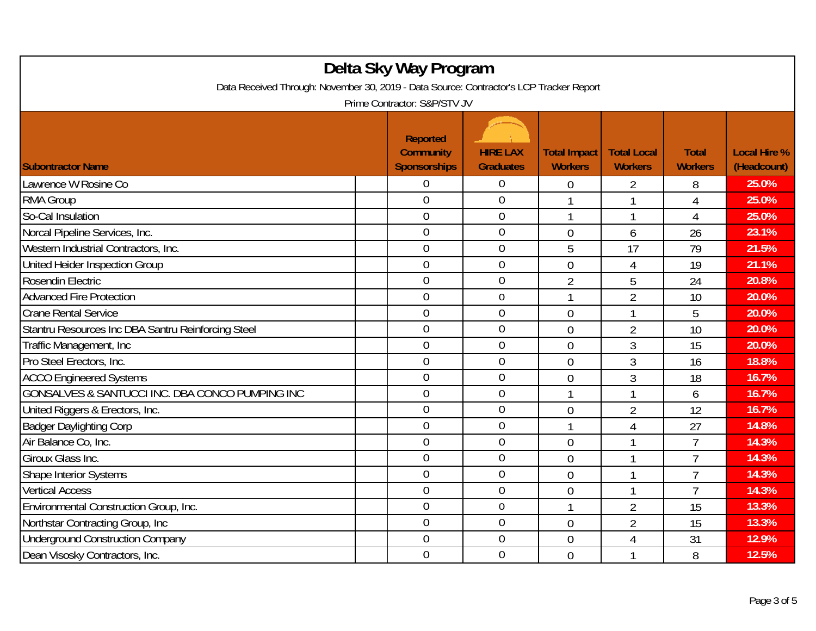| Delta Sky Way Program<br>Data Received Through: November 30, 2019 - Data Source: Contractor's LCP Tracker Report<br>Prime Contractor: S&P/STV JV |                                                            |                                     |                                       |                                      |                                |                                    |  |
|--------------------------------------------------------------------------------------------------------------------------------------------------|------------------------------------------------------------|-------------------------------------|---------------------------------------|--------------------------------------|--------------------------------|------------------------------------|--|
| <b>Subontractor Name</b>                                                                                                                         | <b>Reported</b><br><b>Community</b><br><b>Sponsorships</b> | <b>HIRE LAX</b><br><b>Graduates</b> | <b>Total Impact</b><br><b>Workers</b> | <b>Total Local</b><br><b>Workers</b> | <b>Total</b><br><b>Workers</b> | <b>Local Hire %</b><br>(Headcount) |  |
| Lawrence W Rosine Co                                                                                                                             | 0                                                          | $\boldsymbol{0}$                    | $\mathbf 0$                           | 2                                    | 8                              | 25.0%                              |  |
| <b>RMA Group</b>                                                                                                                                 | $\overline{0}$                                             | $\overline{0}$                      | 1                                     | 1                                    | $\overline{4}$                 | 25.0%                              |  |
| So-Cal Insulation                                                                                                                                | $\overline{0}$                                             | $\mathbf 0$                         | 1                                     | 1                                    | $\overline{4}$                 | 25.0%                              |  |
| Norcal Pipeline Services, Inc.                                                                                                                   | $\overline{0}$                                             | $\mathbf 0$                         | $\overline{0}$                        | 6                                    | 26                             | 23.1%                              |  |
| Western Industrial Contractors, Inc.                                                                                                             | $\overline{0}$                                             | $\overline{0}$                      | 5                                     | 17                                   | 79                             | 21.5%                              |  |
| United Heider Inspection Group                                                                                                                   | $\overline{0}$                                             | $\mathbf{0}$                        | $\overline{0}$                        | $\overline{4}$                       | 19                             | 21.1%                              |  |
| Rosendin Electric                                                                                                                                | $\overline{0}$                                             | $\overline{0}$                      | $\overline{2}$                        | 5                                    | 24                             | 20.8%                              |  |
| <b>Advanced Fire Protection</b>                                                                                                                  | $\overline{0}$                                             | $\mathbf 0$                         | 1                                     | $\overline{2}$                       | 10                             | 20.0%                              |  |
| <b>Crane Rental Service</b>                                                                                                                      | $\overline{0}$                                             | $\boldsymbol{0}$                    | 0                                     | 1                                    | 5                              | 20.0%                              |  |
| Stantru Resources Inc DBA Santru Reinforcing Steel                                                                                               | $\mathbf 0$                                                | $\mathbf 0$                         | $\overline{0}$                        | 2                                    | 10                             | 20.0%                              |  |
| Traffic Management, Inc.                                                                                                                         | $\overline{0}$                                             | $\overline{0}$                      | $\overline{0}$                        | 3                                    | 15                             | 20.0%                              |  |
| Pro Steel Erectors, Inc.                                                                                                                         | $\overline{0}$                                             | $\overline{0}$                      | 0                                     | 3                                    | 16                             | 18.8%                              |  |
| <b>ACCO Engineered Systems</b>                                                                                                                   | $\overline{0}$                                             | $\theta$                            | $\overline{0}$                        | 3                                    | 18                             | 16.7%                              |  |
| GONSALVES & SANTUCCI INC. DBA CONCO PUMPING INC                                                                                                  | $\overline{0}$                                             | $\mathbf 0$                         | 1                                     | 1                                    | 6                              | 16.7%                              |  |
| United Riggers & Erectors, Inc.                                                                                                                  | $\overline{0}$                                             | $\mathbf 0$                         | 0                                     | $\overline{2}$                       | 12                             | 16.7%                              |  |
| <b>Badger Daylighting Corp</b>                                                                                                                   | $\overline{0}$                                             | $\mathbf{0}$                        | 1                                     | $\overline{4}$                       | 27                             | 14.8%                              |  |
| Air Balance Co. Inc.                                                                                                                             | $\overline{0}$                                             | $\overline{0}$                      | $\overline{0}$                        | 1                                    | $\overline{7}$                 | 14.3%                              |  |
| Giroux Glass Inc.                                                                                                                                | 0                                                          | $\boldsymbol{0}$                    | $\overline{0}$                        | 1                                    | $\overline{7}$                 | 14.3%                              |  |
| Shape Interior Systems                                                                                                                           | $\overline{0}$                                             | $\mathbf 0$                         | $\overline{0}$                        | 1                                    | $\overline{7}$                 | 14.3%                              |  |
| <b>Vertical Access</b>                                                                                                                           | $\overline{0}$                                             | $\mathbf 0$                         | 0                                     |                                      | 7                              | 14.3%                              |  |
| Environmental Construction Group, Inc.                                                                                                           | $\overline{0}$                                             | $\mathbf 0$                         | 1                                     | $\overline{2}$                       | 15                             | 13.3%                              |  |
| Northstar Contracting Group, Inc.                                                                                                                | $\overline{0}$                                             | $\overline{0}$                      | 0                                     | $\overline{2}$                       | 15                             | 13.3%                              |  |
| <b>Underground Construction Company</b>                                                                                                          | $\boldsymbol{0}$                                           | $\mathbf 0$                         | 0                                     | 4                                    | 31                             | 12.9%                              |  |
| Dean Visosky Contractors, Inc.                                                                                                                   | $\overline{0}$                                             | $\mathbf 0$                         | $\overline{0}$                        |                                      | 8                              | 12.5%                              |  |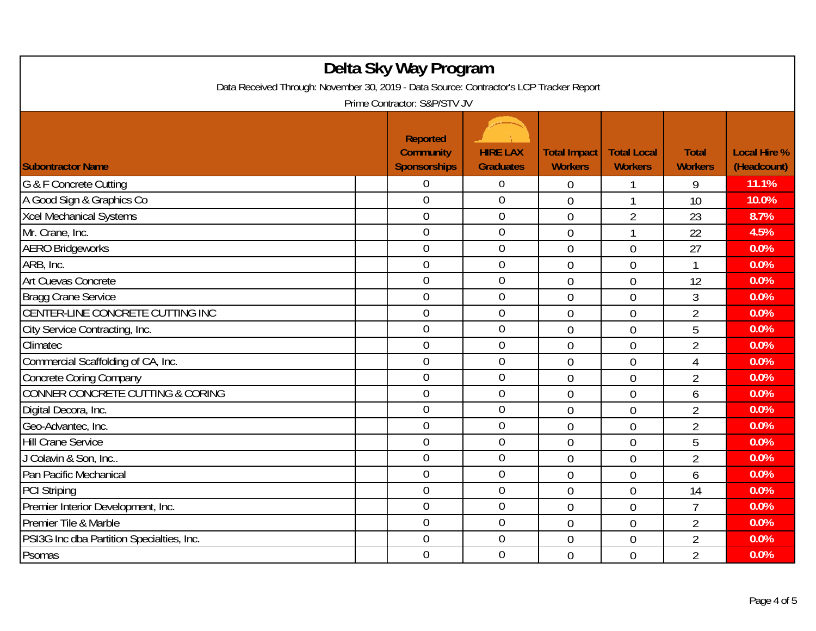| Delta Sky Way Program<br>Data Received Through: November 30, 2019 - Data Source: Contractor's LCP Tracker Report<br>Prime Contractor: S&P/STV JV |                                                            |                                     |                                       |                                      |                                |                                    |  |  |
|--------------------------------------------------------------------------------------------------------------------------------------------------|------------------------------------------------------------|-------------------------------------|---------------------------------------|--------------------------------------|--------------------------------|------------------------------------|--|--|
| <b>Subontractor Name</b>                                                                                                                         | <b>Reported</b><br><b>Community</b><br><b>Sponsorships</b> | <b>HIRE LAX</b><br><b>Graduates</b> | <b>Total Impact</b><br><b>Workers</b> | <b>Total Local</b><br><b>Workers</b> | <b>Total</b><br><b>Workers</b> | <b>Local Hire %</b><br>(Headcount) |  |  |
| G & F Concrete Cutting                                                                                                                           | 0                                                          | $\overline{0}$                      | $\overline{0}$                        |                                      | 9                              | 11.1%                              |  |  |
| A Good Sign & Graphics Co                                                                                                                        | $\overline{0}$                                             | $\mathbf 0$                         | $\overline{0}$                        | $\mathbf{1}$                         | 10                             | 10.0%                              |  |  |
| <b>Xcel Mechanical Systems</b>                                                                                                                   | $\boldsymbol{0}$                                           | $\boldsymbol{0}$                    | $\overline{0}$                        | $\overline{2}$                       | 23                             | 8.7%                               |  |  |
| Mr. Crane, Inc.                                                                                                                                  | $\mathbf 0$                                                | $\boldsymbol{0}$                    | $\overline{0}$                        | 1                                    | 22                             | 4.5%                               |  |  |
| <b>AERO Bridgeworks</b>                                                                                                                          | $\overline{0}$                                             | $\overline{0}$                      | $\overline{0}$                        | $\overline{0}$                       | 27                             | 0.0%                               |  |  |
| ARB, Inc.                                                                                                                                        | $\mathbf 0$                                                | $\boldsymbol{0}$                    | $\overline{0}$                        | $\overline{0}$                       | 1                              | 0.0%                               |  |  |
| Art Cuevas Concrete                                                                                                                              | $\mathbf 0$                                                | $\mathbf 0$                         | $\overline{0}$                        | $\overline{0}$                       | 12                             | 0.0%                               |  |  |
| Bragg Crane Service                                                                                                                              | $\overline{0}$                                             | $\boldsymbol{0}$                    | $\overline{0}$                        | $\overline{0}$                       | 3                              | 0.0%                               |  |  |
| CENTER-LINE CONCRETE CUTTING INC                                                                                                                 | $\mathbf 0$                                                | $\boldsymbol{0}$                    | $\overline{0}$                        | $\overline{0}$                       | $\overline{2}$                 | 0.0%                               |  |  |
| City Service Contracting, Inc.                                                                                                                   | $\overline{0}$                                             | $\boldsymbol{0}$                    | $\mathbf 0$                           | $\overline{0}$                       | 5                              | 0.0%                               |  |  |
| Climatec                                                                                                                                         | $\overline{0}$                                             | $\mathbf 0$                         | $\overline{0}$                        | $\overline{0}$                       | $\overline{2}$                 | 0.0%                               |  |  |
| Commercial Scaffolding of CA, Inc.                                                                                                               | $\overline{0}$                                             | $\mathbf 0$                         | $\overline{0}$                        | $\overline{0}$                       | $\overline{4}$                 | 0.0%                               |  |  |
| <b>Concrete Coring Company</b>                                                                                                                   | $\overline{0}$                                             | $\overline{0}$                      | $\overline{0}$                        | $\overline{0}$                       | $\overline{2}$                 | 0.0%                               |  |  |
| CONNER CONCRETE CUTTING & CORING                                                                                                                 | $\overline{0}$                                             | $\boldsymbol{0}$                    | $\overline{0}$                        | $\overline{0}$                       | 6                              | 0.0%                               |  |  |
| Digital Decora, Inc.                                                                                                                             | $\overline{0}$                                             | $\boldsymbol{0}$                    | $\overline{0}$                        | $\overline{0}$                       | $\overline{2}$                 | 0.0%                               |  |  |
| Geo-Advantec, Inc.                                                                                                                               | $\mathbf 0$                                                | $\mathbf 0$                         | $\overline{0}$                        | $\overline{0}$                       | $\overline{2}$                 | 0.0%                               |  |  |
| <b>Hill Crane Service</b>                                                                                                                        | $\overline{0}$                                             | $\mathbf 0$                         | $\overline{0}$                        | $\overline{0}$                       | 5                              | 0.0%                               |  |  |
| J Colavin & Son, Inc                                                                                                                             | $\overline{0}$                                             | $\mathbf 0$                         | $\overline{0}$                        | $\overline{0}$                       | $\overline{2}$                 | 0.0%                               |  |  |
| Pan Pacific Mechanical                                                                                                                           | $\overline{0}$                                             | $\overline{0}$                      | $\overline{0}$                        | $\overline{0}$                       | 6                              | 0.0%                               |  |  |
| <b>PCI Striping</b>                                                                                                                              | $\overline{0}$                                             | $\mathbf 0$                         | $\overline{0}$                        | $\overline{0}$                       | 14                             | 0.0%                               |  |  |
| Premier Interior Development, Inc.                                                                                                               | $\boldsymbol{0}$                                           | $\boldsymbol{0}$                    | $\overline{0}$                        | $\overline{0}$                       | 7                              | 0.0%                               |  |  |
| Premier Tile & Marble                                                                                                                            | $\mathbf 0$                                                | $\mathbf 0$                         | $\overline{0}$                        | $\overline{0}$                       | $\overline{2}$                 | 0.0%                               |  |  |
| PSI3G Inc dba Partition Specialties, Inc.                                                                                                        | $\overline{0}$                                             | $\mathbf 0$                         | $\overline{0}$                        | $\overline{0}$                       | $\overline{2}$                 | 0.0%                               |  |  |
| Psomas                                                                                                                                           | $\overline{0}$                                             | $\mathbf 0$                         | $\overline{0}$                        | $\overline{0}$                       | $\overline{2}$                 | 0.0%                               |  |  |